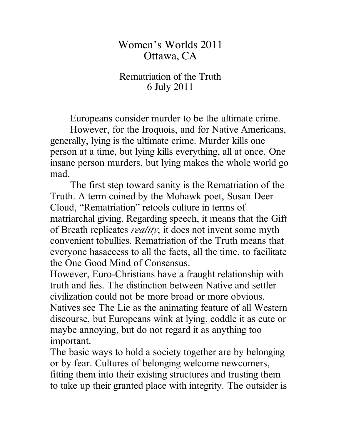## Women's Worlds 2011 Ottawa, CA

## Rematriation of the Truth 6 July 2011

Europeans consider murder to be the ultimate crime.

However, for the Iroquois, and for Native Americans, generally, lying is the ultimate crime. Murder kills one person at a time, but lying kills everything, all at once. One insane person murders, but lying makes the whole world go mad.

The first step toward sanity is the Rematriation of the Truth. A term coined by the Mohawk poet, Susan Deer Cloud, "Rematriation" retools culture in terms of matriarchal giving. Regarding speech, it means that the Gift of Breath replicates *reality*; it does not invent some myth convenient tobullies. Rematriation of the Truth means that everyone hasaccess to all the facts, all the time, to facilitate the One Good Mind of Consensus.

However, Euro-Christians have a fraught relationship with truth and lies. The distinction between Native and settler civilization could not be more broad or more obvious. Natives see The Lie as the animating feature of all Western discourse, but Europeans wink at lying, coddle it as cute or maybe annoying, but do not regard it as anything too important.

The basic ways to hold a society together are by belonging or by fear. Cultures of belonging welcome newcomers, fitting them into their existing structures and trusting them to take up their granted place with integrity. The outsider is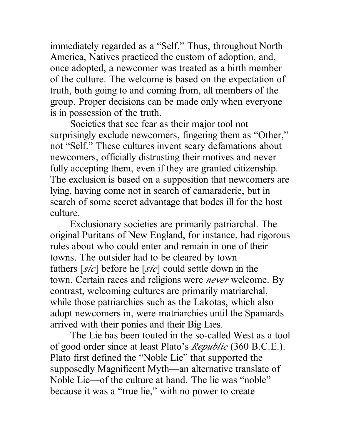immediately regarded as a "Self." Thus, throughout North America, Natives practiced the custom of adoption, and, once adopted, a newcomer was treated as a birth member of the culture. The welcome is based on the expectation of truth, both going to and coming from, all members of the group. Proper decisions can be made only when everyone is in possession of the truth.

Societies that see fear as their major tool not surprisingly exclude newcomers, fingering them as "Other," not "Self." These cultures invent scary defamations about newcomers, officially distrusting their motives and never fully accepting them, even if they are granted citizenship. The exclusion is based on a supposition that newcomers are lying, having come not in search of camaraderie, but in search of some secret advantage that bodes ill for the host culture.

Exclusionary societies are primarily patriarchal. The original Puritans of New England, for instance, had rigorous rules about who could enter and remain in one of their towns. The outsider had to be cleared by town fathers [*sic*] before he [*sic*] could settle down in the town. Certain races and religions were *never* welcome. By contrast, welcoming cultures are primarily matriarchal, while those patriarchies such as the Lakotas, which also adopt newcomers in, were matriarchies until the Spaniards arrived with their ponies and their Big Lies.

The Lie has been touted in the so-called West as a tool of good order since at least Plato's *Republic* (360 B.C.E.). Plato first defined the "Noble Lie" that supported the supposedly Magnificent Myth—an alternative translate of Noble Lie—of the culture at hand. The lie was "noble" because it was a "true lie," with no power to create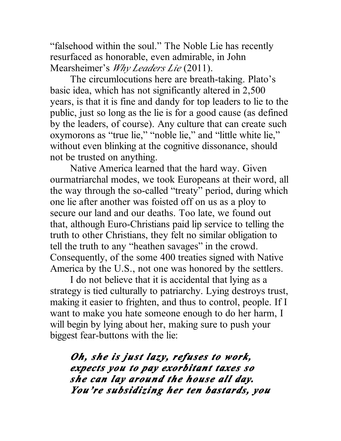"falsehood within the soul." The Noble Lie has recently resurfaced as honorable, even admirable, in John Mearsheimer's *Why Leaders Lie* (2011).

The circumlocutions here are breath-taking. Plato's basic idea, which has not significantly altered in 2,500 years, is that it is fine and dandy for top leaders to lie to the public, just so long as the lie is for a good cause (as defined by the leaders, of course). Any culture that can create such oxymorons as "true lie," "noble lie," and "little white lie," without even blinking at the cognitive dissonance, should not be trusted on anything.

Native America learned that the hard way. Given ourmatriarchal modes, we took Europeans at their word, all the way through the so-called "treaty" period, during which one lie after another was foisted off on us as a ploy to secure our land and our deaths. Too late, we found out that, although Euro-Christians paid lip service to telling the truth to other Christians, they felt no similar obligation to tell the truth to any "heathen savages" in the crowd. Consequently, of the some 400 treaties signed with Native America by the U.S., not one was honored by the settlers.

I do not believe that it is accidental that lying as a strategy is tied culturally to patriarchy. Lying destroys trust, making it easier to frighten, and thus to control, people. If I want to make you hate someone enough to do her harm, I will begin by lying about her, making sure to push your biggest fear-buttons with the lie:

*Oh, she is just lazy, refuses to work, expects you to pay exorbitant taxes so she can lay around the house all day. You're subsidizing her ten bastards, you*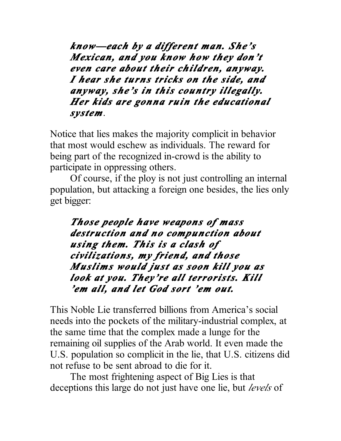*know—each by a different man. She's Mexican, and you know how they don't even care about their children, anyway. I hear she turns tricks on the side, and anyway, she's in this country illegally. Her kids are gonna ruin the educational system*.

Notice that lies makes the majority complicit in behavior that most would eschew as individuals. The reward for being part of the recognized in-crowd is the ability to participate in oppressing others.

Of course, if the ploy is not just controlling an internal population, but attacking a foreign one besides, the lies only get bigger:

*Those people have weapons of mass destruction and no compunction about using them. This is a clash of civilizations, my friend, and those Muslims would just as soon kill you as look at you. They're all terrorists. Kill 'em all, and let God sort 'em out.*

This Noble Lie transferred billions from America's social needs into the pockets of the military-industrial complex, at the same time that the complex made a lunge for the remaining oil supplies of the Arab world. It even made the U.S. population so complicit in the lie, that U.S. citizens did not refuse to be sent abroad to die for it.

The most frightening aspect of Big Lies is that deceptions this large do not just have one lie, but *levels* of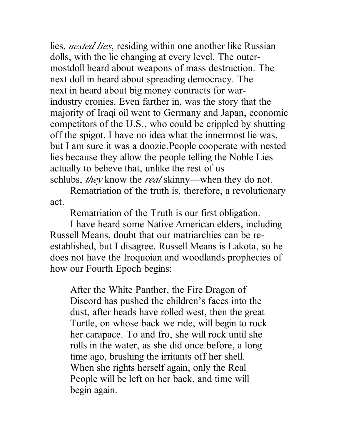lies, *nested lies*, residing within one another like Russian dolls, with the lie changing at every level. The outermostdoll heard about weapons of mass destruction. The next doll in heard about spreading democracy. The next in heard about big money contracts for warindustry cronies. Even farther in, was the story that the majority of Iraqi oil went to Germany and Japan, economic competitors of the U.S., who could be crippled by shutting off the spigot. I have no idea what the innermost lie was, but I am sure it was a doozie.People cooperate with nested lies because they allow the people telling the Noble Lies actually to believe that, unlike the rest of us schlubs, *they* know the *real* skinny—when they do not.

Rematriation of the truth is, therefore, a revolutionary act.

Rematriation of the Truth is our first obligation.

I have heard some Native American elders, including Russell Means, doubt that our matriarchies can be reestablished, but I disagree. Russell Means is Lakota, so he does not have the Iroquoian and woodlands prophecies of how our Fourth Epoch begins:

After the White Panther, the Fire Dragon of Discord has pushed the children's faces into the dust, after heads have rolled west, then the great Turtle, on whose back we ride, will begin to rock her carapace. To and fro, she will rock until she rolls in the water, as she did once before, a long time ago, brushing the irritants off her shell. When she rights herself again, only the Real People will be left on her back, and time will begin again.